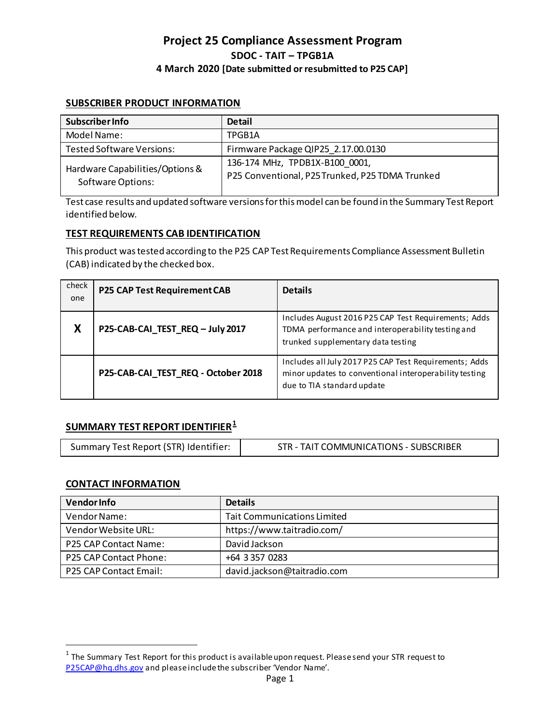# **SUBSCRIBER PRODUCT INFORMATION**

| <b>Subscriber Info</b>                                      | <b>Detail</b>                                   |
|-------------------------------------------------------------|-------------------------------------------------|
| Model Name:                                                 | TPGB1A                                          |
| <b>Tested Software Versions:</b>                            | Firmware Package QIP25 2.17.00.0130             |
| Hardware Capabilities/Options &<br><b>Software Options:</b> | 136-174 MHz, TPDB1X-B100 0001,                  |
|                                                             | P25 Conventional, P25 Trunked, P25 TDMA Trunked |

Test case results and updated software versions for this model can be found in the Summary Test Report identified below.

## **TEST REQUIREMENTS CAB IDENTIFICATION**

This product was tested according to the P25 CAP Test Requirements Compliance Assessment Bulletin (CAB) indicated by the checked box.

| check<br>one | P25 CAP Test Requirement CAB        | <b>Details</b>                                                                                                                                  |
|--------------|-------------------------------------|-------------------------------------------------------------------------------------------------------------------------------------------------|
| X            | P25-CAB-CAI_TEST_REQ - July 2017    | Includes August 2016 P25 CAP Test Requirements; Adds<br>TDMA performance and interoperability testing and<br>trunked supplementary data testing |
|              | P25-CAB-CAI_TEST_REQ - October 2018 | Includes all July 2017 P25 CAP Test Requirements; Adds<br>minor updates to conventional interoperability testing<br>due to TIA standard update  |

# **SUMMARY TEST REPORT IDENTIFIER[1](#page-0-0)**

| Summary Test Report (STR) Identifier: | STR - TAIT COMMUNICATIONS - SUBSCRIBER |
|---------------------------------------|----------------------------------------|
|                                       |                                        |

## **CONTACT INFORMATION**

l

| <b>Vendor Info</b>            | <b>Details</b>                     |
|-------------------------------|------------------------------------|
| Vendor Name:                  | <b>Tait Communications Limited</b> |
| Vendor Website URL:           | https://www.taitradio.com/         |
| <b>P25 CAP Contact Name:</b>  | David Jackson                      |
| <b>P25 CAP Contact Phone:</b> | +64 3 357 0283                     |
| P25 CAP Contact Email:        | david.jackson@taitradio.com        |

<span id="page-0-0"></span> $1$  The Summary Test Report for this product is available upon request. Please send your STR request to [P25CAP@hq.dhs.gov](mailto:P25CAP@hq.dhs.gov) and please include the subscriber 'Vendor Name'.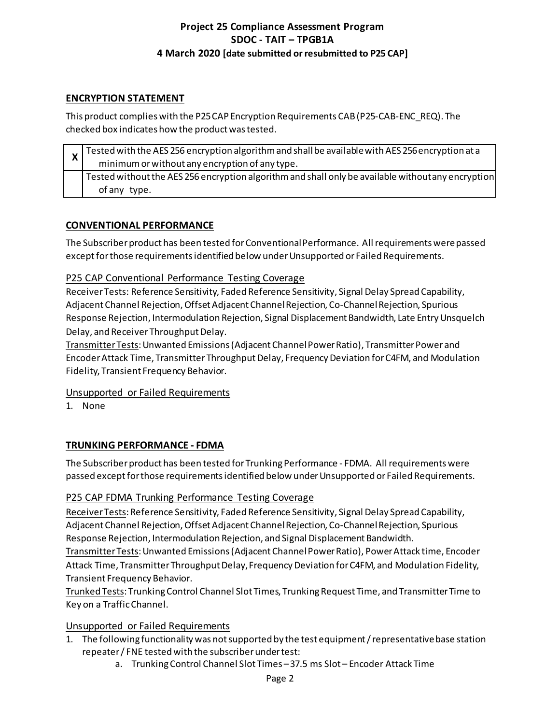# **ENCRYPTION STATEMENT**

This product complies with the P25 CAP Encryption Requirements CAB (P25-CAB-ENC\_REQ). The checked box indicates how the product was tested.

|  | Tested with the AES 256 encryption algorithm and shall be available with AES 256 encryption at a   |
|--|----------------------------------------------------------------------------------------------------|
|  | minimum or without any encryption of any type.                                                     |
|  | Tested without the AES 256 encryption algorithm and shall only be available without any encryption |
|  | of any type.                                                                                       |

# **CONVENTIONAL PERFORMANCE**

The Subscriber product has been tested for Conventional Performance. All requirements were passed except for those requirementsidentified below under Unsupported or Failed Requirements.

# P25 CAP Conventional Performance Testing Coverage

Receiver Tests: Reference Sensitivity, Faded Reference Sensitivity, Signal Delay Spread Capability, Adjacent Channel Rejection, Offset Adjacent Channel Rejection, Co-Channel Rejection, Spurious Response Rejection, Intermodulation Rejection, Signal Displacement Bandwidth, Late Entry Unsquelch Delay, and Receiver Throughput Delay.

Transmitter Tests: Unwanted Emissions (Adjacent Channel Power Ratio), Transmitter Power and Encoder Attack Time, Transmitter Throughput Delay, Frequency Deviation for C4FM, and Modulation Fidelity, Transient Frequency Behavior.

Unsupported or Failed Requirements

1. None

# **TRUNKING PERFORMANCE - FDMA**

The Subscriber product has been tested for Trunking Performance - FDMA. All requirements were passed except for those requirementsidentified below under Unsupported or Failed Requirements.

# P25 CAP FDMA Trunking Performance Testing Coverage

Receiver Tests: Reference Sensitivity, Faded Reference Sensitivity, Signal Delay Spread Capability, Adjacent Channel Rejection, Offset Adjacent Channel Rejection, Co-Channel Rejection, Spurious Response Rejection, Intermodulation Rejection, and Signal Displacement Bandwidth.

Transmitter Tests: Unwanted Emissions (Adjacent Channel Power Ratio), Power Attack time, Encoder Attack Time, Transmitter Throughput Delay, Frequency Deviation for C4FM, and Modulation Fidelity, Transient Frequency Behavior.

Trunked Tests: Trunking Control Channel Slot Times, Trunking Request Time, and Transmitter Time to Key on a Traffic Channel.

# Unsupported or Failed Requirements

- 1. The following functionality was not supported by the test equipment / representative base station repeater / FNE tested with the subscriber under test:
	- a. Trunking Control Channel Slot Times 37.5 ms Slot Encoder Attack Time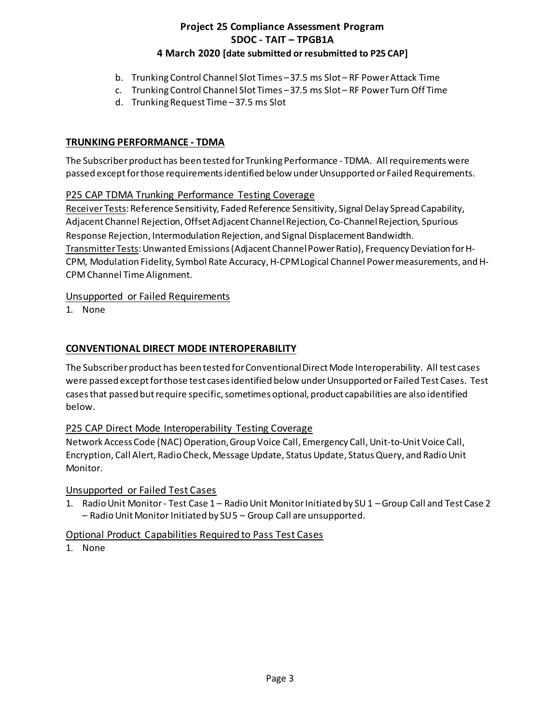- b. Trunking Control Channel Slot Times 37.5 ms Slot RF Power Attack Time
- c. Trunking Control Channel Slot Times 37.5 ms Slot RF Power Turn Off Time
- d. Trunking Request Time 37.5 ms Slot

## **TRUNKING PERFORMANCE - TDMA**

The Subscriber product has been tested for Trunking Performance - TDMA. All requirements were passed except for those requirementsidentified below under Unsupported or Failed Requirements.

# P25 CAP TDMA Trunking Performance Testing Coverage

Receiver Tests: Reference Sensitivity, Faded Reference Sensitivity, Signal Delay Spread Capability, Adjacent Channel Rejection, Offset Adjacent Channel Rejection, Co-Channel Rejection, Spurious Response Rejection, Intermodulation Rejection, and Signal Displacement Bandwidth. Transmitter Tests: Unwanted Emissions (Adjacent Channel Power Ratio), Frequency Deviation for H-CPM, Modulation Fidelity, Symbol Rate Accuracy, H-CPM Logical Channel Power measurements, and H-CPM Channel Time Alignment.

# Unsupported or Failed Requirements

1. None

# **CONVENTIONAL DIRECT MODE INTEROPERABILITY**

The Subscriber product has been tested for Conventional Direct Mode Interoperability. All test cases were passed except for those test cases identified below under Unsupported or Failed Test Cases. Test cases that passed but require specific, sometimes optional, product capabilities are also identified below.

# P25 CAP Direct Mode Interoperability Testing Coverage

Network Access Code (NAC) Operation, Group Voice Call, Emergency Call, Unit-to-Unit Voice Call, Encryption, Call Alert, Radio Check, Message Update, Status Update, Status Query, and Radio Unit Monitor.

## Unsupported or Failed Test Cases

1. Radio Unit Monitor - Test Case 1 – Radio Unit Monitor Initiated by SU 1 – Group Call and Test Case 2 – Radio Unit Monitor Initiated by SU 5 – Group Call are unsupported.

## Optional Product Capabilities Required to Pass Test Cases

1. None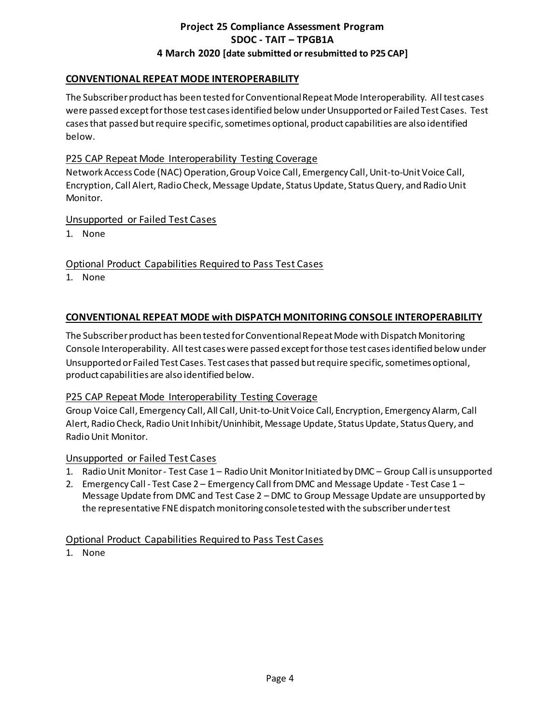# **CONVENTIONAL REPEAT MODE INTEROPERABILITY**

The Subscriber product has been tested for Conventional Repeat Mode Interoperability. All test cases were passed except for those test cases identified below under Unsupported or Failed Test Cases. Test cases that passed but require specific, sometimes optional, product capabilities are also identified below.

## P25 CAP Repeat Mode Interoperability Testing Coverage

Network Access Code (NAC) Operation, Group Voice Call, Emergency Call, Unit-to-Unit Voice Call, Encryption, Call Alert, Radio Check, Message Update, Status Update, Status Query, and Radio Unit Monitor.

#### Unsupported or Failed Test Cases

1. None

Optional Product Capabilities Required to Pass Test Cases

1. None

## **CONVENTIONAL REPEAT MODE with DISPATCH MONITORING CONSOLE INTEROPERABILITY**

The Subscriber product has been tested for Conventional Repeat Mode with Dispatch Monitoring Console Interoperability. All test cases were passed except for those test cases identified below under Unsupported or Failed Test Cases. Test cases that passed but require specific, sometimes optional, product capabilities are also identified below.

#### P25 CAP Repeat Mode Interoperability Testing Coverage

Group Voice Call, Emergency Call, All Call, Unit-to-Unit Voice Call, Encryption, Emergency Alarm, Call Alert, Radio Check, Radio Unit Inhibit/Uninhibit, Message Update, Status Update, Status Query, and Radio Unit Monitor.

## Unsupported or Failed Test Cases

- 1. Radio Unit Monitor Test Case 1 Radio Unit Monitor Initiated by DMC Group Call is unsupported
- 2. Emergency Call Test Case 2 Emergency Call from DMC and Message Update Test Case 1 Message Update from DMC and Test Case 2 – DMC to Group Message Update are unsupported by the representative FNE dispatch monitoring console tested with the subscriber under test

## Optional Product Capabilities Required to Pass Test Cases

1. None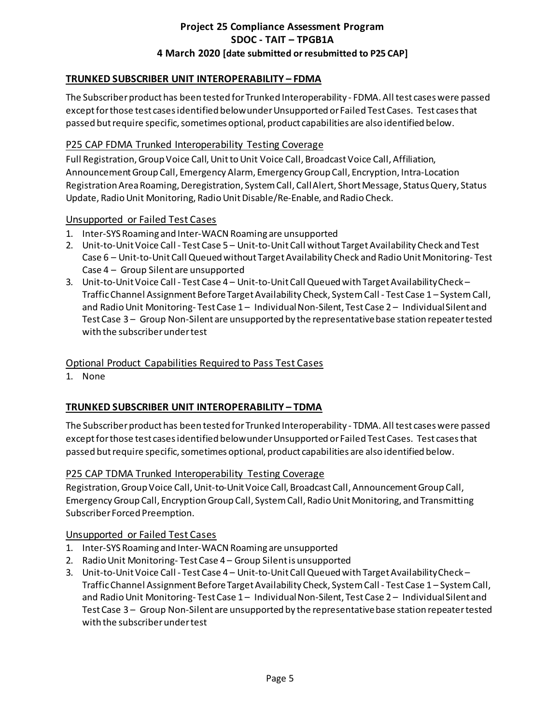# **TRUNKED SUBSCRIBER UNIT INTEROPERABILITY – FDMA**

The Subscriber product has been tested for Trunked Interoperability - FDMA. All test cases were passed except for those test cases identified below under Unsupported or Failed Test Cases. Test cases that passed but require specific, sometimes optional, product capabilities are also identified below.

#### P25 CAP FDMA Trunked Interoperability Testing Coverage

Full Registration, Group Voice Call, Unit to Unit Voice Call, Broadcast Voice Call, Affiliation, Announcement Group Call, Emergency Alarm, Emergency Group Call, Encryption, Intra-Location Registration Area Roaming, Deregistration, System Call, Call Alert, Short Message, Status Query, Status Update, Radio Unit Monitoring, Radio Unit Disable/Re-Enable, and Radio Check.

#### Unsupported or Failed Test Cases

- 1. Inter-SYS Roaming and Inter-WACN Roaming are unsupported
- 2. Unit-to-Unit Voice Call Test Case 5 Unit-to-Unit Call without Target Availability Check and Test Case 6 – Unit-to-Unit Call Queued without Target Availability Check and Radio Unit Monitoring- Test Case 4 – Group Silent are unsupported
- 3. Unit-to-Unit Voice Call Test Case 4 Unit-to-Unit Call Queued with Target Availability Check Traffic Channel Assignment Before Target Availability Check, System Call - Test Case 1 – System Call, and Radio Unit Monitoring- Test Case 1 – Individual Non-Silent, Test Case 2 – Individual Silent and Test Case 3 – Group Non-Silent are unsupported by the representative base station repeater tested with the subscriber under test

## Optional Product Capabilities Required to Pass Test Cases

1. None

## **TRUNKED SUBSCRIBER UNIT INTEROPERABILITY – TDMA**

The Subscriber product has been tested for Trunked Interoperability - TDMA. All test cases were passed except for those test cases identified below under Unsupported or Failed Test Cases. Test cases that passed but require specific, sometimes optional, product capabilities are also identified below.

#### P25 CAP TDMA Trunked Interoperability Testing Coverage

Registration, Group Voice Call, Unit-to-Unit Voice Call, Broadcast Call, Announcement Group Call, Emergency Group Call, Encryption Group Call, System Call, Radio Unit Monitoring, and Transmitting Subscriber Forced Preemption.

#### Unsupported or Failed Test Cases

- 1. Inter-SYS Roaming and Inter-WACN Roaming are unsupported
- 2. Radio Unit Monitoring- Test Case 4 Group Silentis unsupported
- 3. Unit-to-Unit Voice Call Test Case 4 Unit-to-Unit Call Queued with Target Availability Check -Traffic Channel Assignment Before Target Availability Check, System Call - Test Case 1 – System Call, and Radio Unit Monitoring- Test Case 1 – Individual Non-Silent, Test Case 2 – Individual Silent and Test Case 3 – Group Non-Silent are unsupported by the representative base station repeater tested with the subscriber under test